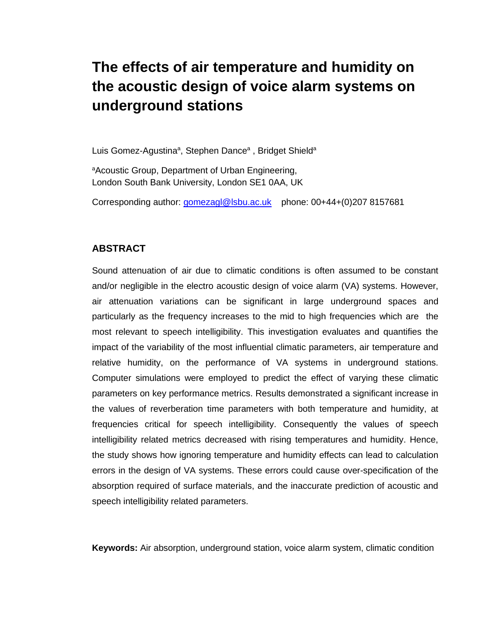# **The effects of air temperature and humidity on the acoustic design of voice alarm systems on underground stations**

Luis Gomez-Agustina<sup>a</sup>, Stephen Dance<sup>a</sup>, Bridget Shield<sup>a</sup>

a Acoustic Group, Department of Urban Engineering, London South Bank University, London SE1 0AA, UK

Corresponding author: [gomezagl@lsbu.ac.uk](mailto:gomezagl@lsbu.ac.uk) phone: 00+44+(0)207 8157681

#### **ABSTRACT**

Sound attenuation of air due to climatic conditions is often assumed to be constant and/or negligible in the electro acoustic design of voice alarm (VA) systems. However, air attenuation variations can be significant in large underground spaces and particularly as the frequency increases to the mid to high frequencies which are the most relevant to speech intelligibility. This investigation evaluates and quantifies the impact of the variability of the most influential climatic parameters, air temperature and relative humidity, on the performance of VA systems in underground stations. Computer simulations were employed to predict the effect of varying these climatic parameters on key performance metrics. Results demonstrated a significant increase in the values of reverberation time parameters with both temperature and humidity, at frequencies critical for speech intelligibility. Consequently the values of speech intelligibility related metrics decreased with rising temperatures and humidity. Hence, the study shows how ignoring temperature and humidity effects can lead to calculation errors in the design of VA systems. These errors could cause over-specification of the absorption required of surface materials, and the inaccurate prediction of acoustic and speech intelligibility related parameters.

**Keywords:** Air absorption, underground station, voice alarm system, climatic condition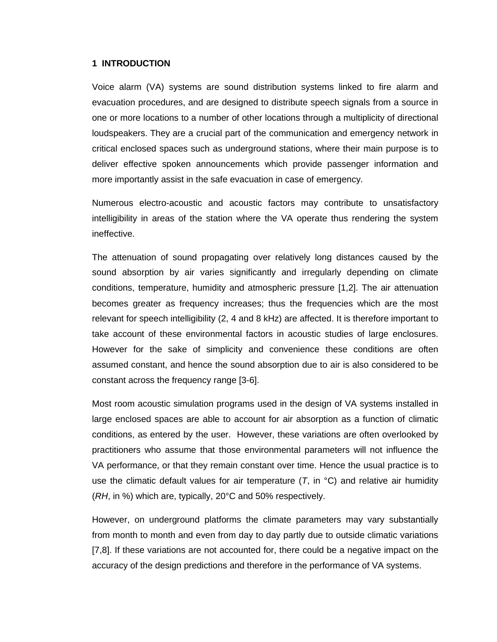#### **1 INTRODUCTION**

Voice alarm (VA) systems are sound distribution systems linked to fire alarm and evacuation procedures, and are designed to distribute speech signals from a source in one or more locations to a number of other locations through a multiplicity of directional loudspeakers. They are a crucial part of the communication and emergency network in critical enclosed spaces such as underground stations, where their main purpose is to deliver effective spoken announcements which provide passenger information and more importantly assist in the safe evacuation in case of emergency.

Numerous electro-acoustic and acoustic factors may contribute to unsatisfactory intelligibility in areas of the station where the VA operate thus rendering the system ineffective.

The attenuation of sound propagating over relatively long distances caused by the sound absorption by air varies significantly and irregularly depending on climate conditions, temperature, humidity and atmospheric pressure [1,2]. The air attenuation becomes greater as frequency increases; thus the frequencies which are the most relevant for speech intelligibility (2, 4 and 8 kHz) are affected. It is therefore important to take account of these environmental factors in acoustic studies of large enclosures. However for the sake of simplicity and convenience these conditions are often assumed constant, and hence the sound absorption due to air is also considered to be constant across the frequency range [3-6].

Most room acoustic simulation programs used in the design of VA systems installed in large enclosed spaces are able to account for air absorption as a function of climatic conditions, as entered by the user. However, these variations are often overlooked by practitioners who assume that those environmental parameters will not influence the VA performance, or that they remain constant over time. Hence the usual practice is to use the climatic default values for air temperature  $(T, in \, ^\circ\text{C})$  and relative air humidity (*RH*, in %) which are, typically, 20°C and 50% respectively.

However, on underground platforms the climate parameters may vary substantially from month to month and even from day to day partly due to outside climatic variations [7,8]. If these variations are not accounted for, there could be a negative impact on the accuracy of the design predictions and therefore in the performance of VA systems.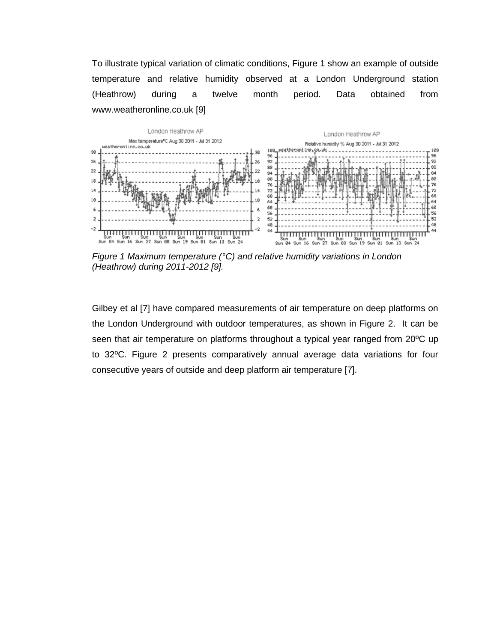To illustrate typical variation of climatic conditions, Figure 1 show an example of outside temperature and relative humidity observed at a London Underground station (Heathrow) during a twelve month period. Data obtained from www.weatheronline.co.uk [9]



*Figure 1 Maximum temperature (°C) and relative humidity variations in London (Heathrow) during 2011-2012 [9].* 

Gilbey et al [7] have compared measurements of air temperature on deep platforms on the London Underground with outdoor temperatures, as shown in Figure 2. It can be seen that air temperature on platforms throughout a typical year ranged from 20ºC up to 32ºC. Figure 2 presents comparatively annual average data variations for four consecutive years of outside and deep platform air temperature [7].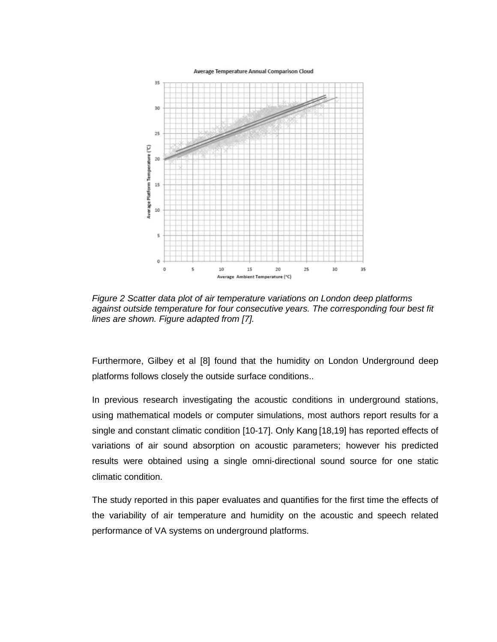Average Temperature Annual Comparison Cloud



*Figure 2 Scatter data plot of air temperature variations on London deep platforms against outside temperature for four consecutive years. The corresponding four best fit lines are shown. Figure adapted from [7].*

Furthermore, Gilbey et al [8] found that the humidity on London Underground deep platforms follows closely the outside surface conditions..

In previous research investigating the acoustic conditions in underground stations, using mathematical models or computer simulations, most authors report results for a single and constant climatic condition [10-17]. Only Kang [18,19] has reported effects of variations of air sound absorption on acoustic parameters; however his predicted results were obtained using a single omni-directional sound source for one static climatic condition.

The study reported in this paper evaluates and quantifies for the first time the effects of the variability of air temperature and humidity on the acoustic and speech related performance of VA systems on underground platforms.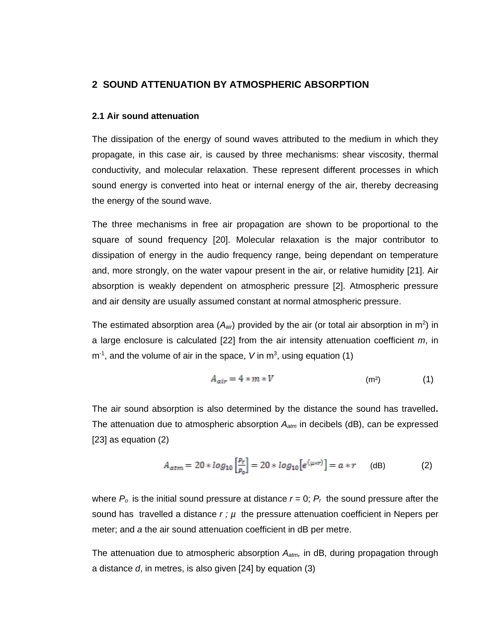## **2 SOUND ATTENUATION BY ATMOSPHERIC ABSORPTION**

#### **2.1 Air sound attenuation**

The dissipation of the energy of sound waves attributed to the medium in which they propagate, in this case air, is caused by three mechanisms: shear viscosity, thermal conductivity, and molecular relaxation. These represent different processes in which sound energy is converted into heat or internal energy of the air, thereby decreasing the energy of the sound wave.

The three mechanisms in free air propagation are shown to be proportional to the square of sound frequency [20]. Molecular relaxation is the major contributor to dissipation of energy in the audio frequency range, being dependant on temperature and, more strongly, on the water vapour present in the air, or relative humidity [21]. Air absorption is weakly dependent on atmospheric pressure [2]. Atmospheric pressure and air density are usually assumed constant at normal atmospheric pressure.

The estimated absorption area  $(A_{air})$  provided by the air (or total air absorption in m<sup>2</sup>) in a large enclosure is calculated [22] from the air intensity attenuation coefficient *m*, in  $m<sup>-1</sup>$ , and the volume of air in the space, V in  $m<sup>3</sup>$ , using equation (1)

$$
A_{air} = 4 * m * V \tag{1}
$$

The air sound absorption is also determined by the distance the sound has travelled**.**  The attenuation due to atmospheric absorption *Aatm* in decibels (dB), can be expressed [23] as equation (2)

$$
A_{atm} = 20 * log_{10} \left[ \frac{P_r}{P_0} \right] = 20 * log_{10} \left[ e^{(\mu \ast r)} \right] = a * r \qquad (dB)
$$
 (2)

where  $P_o$  is the initial sound pressure at distance  $r = 0$ ;  $P_r$  the sound pressure after the sound has travelled a distance *r ; µ* the pressure attenuation coefficient in Nepers per meter; and *a* the air sound attenuation coefficient in dB per metre.

The attenuation due to atmospheric absorption *Aatm,* in dB, during propagation through a distance *d*, in metres, is also given [24] by equation (3)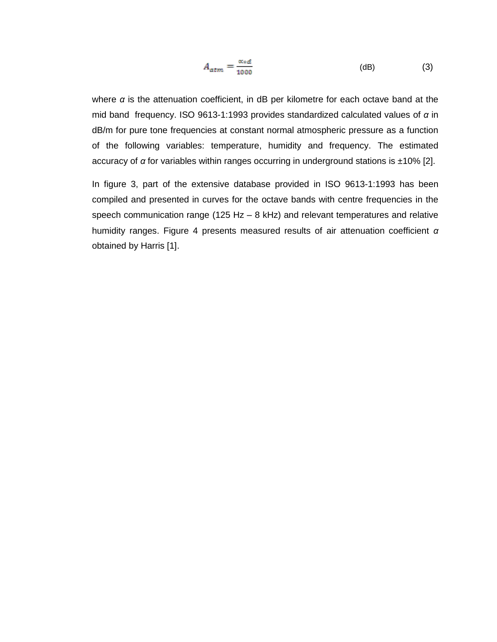$$
A_{atm} = \frac{\alpha * d}{1000} \tag{3}
$$

where *α* is the attenuation coefficient, in dB per kilometre for each octave band at the mid band frequency. ISO 9613-1:1993 provides standardized calculated values of *α* in dB/m for pure tone frequencies at constant normal atmospheric pressure as a function of the following variables: temperature, humidity and frequency. The estimated accuracy of *α* for variables within ranges occurring in underground stations is ±10% [2].

In figure 3, part of the extensive database provided in ISO 9613-1:1993 has been compiled and presented in curves for the octave bands with centre frequencies in the speech communication range (125 Hz – 8 kHz) and relevant temperatures and relative humidity ranges. Figure 4 presents measured results of air attenuation coefficient *α* obtained by Harris [1].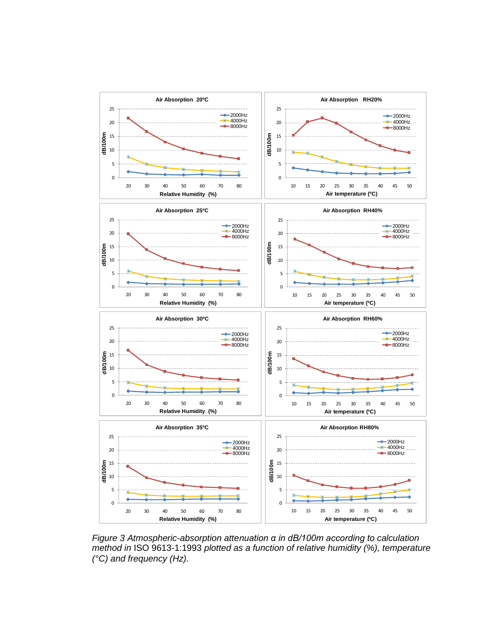

*Figure 3 Atmospheric-absorption attenuation α in dB/100m according to calculation method in* ISO 9613-1:1993 *plotted as a function of relative humidity (%), temperature (°C) and frequency (Hz).*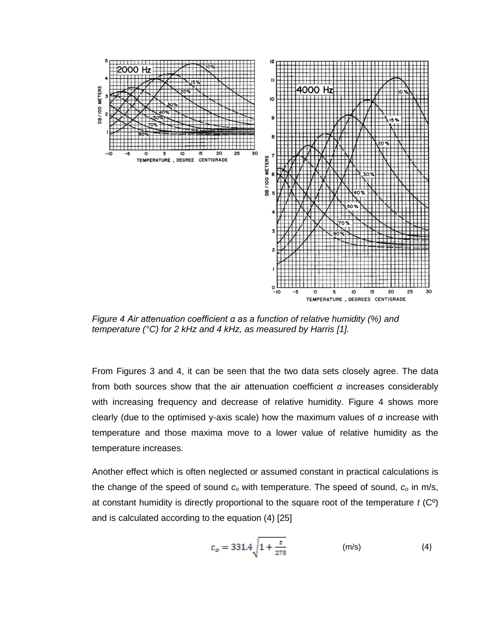

*Figure 4 Air attenuation coefficient α as a function of relative humidity (%) and temperature (°C) for 2 kHz and 4 kHz, as measured by Harris [1].*

From Figures 3 and 4, it can be seen that the two data sets closely agree. The data from both sources show that the air attenuation coefficient *α* increases considerably with increasing frequency and decrease of relative humidity. Figure 4 shows more clearly (due to the optimised y-axis scale) how the maximum values of *α* increase with temperature and those maxima move to a lower value of relative humidity as the temperature increases.

Another effect which is often neglected or assumed constant in practical calculations is the change of the speed of sound *c<sup>o</sup>* with temperature. The speed of sound, *c<sup>o</sup>* in m/s, at constant humidity is directly proportional to the square root of the temperature *t* (Cº) and is calculated according to the equation (4) [25]

$$
c_o = 331.4 \sqrt{1 + \frac{t}{273}}
$$
 (m/s) (4)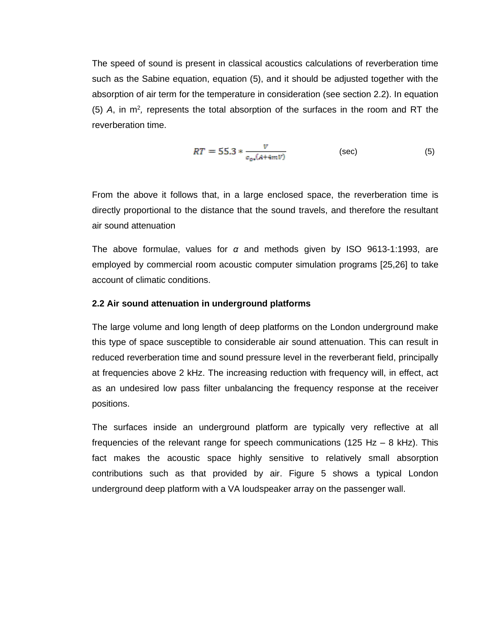The speed of sound is present in classical acoustics calculations of reverberation time such as the Sabine equation, equation (5), and it should be adjusted together with the absorption of air term for the temperature in consideration (see section 2.2). In equation  $(5)$  A, in  $m^2$ , represents the total absorption of the surfaces in the room and RT the reverberation time.

$$
RT = 55.3 * \frac{v}{c_{\text{0}}(A+4mV)}
$$
 (sec) (5)

From the above it follows that, in a large enclosed space, the reverberation time is directly proportional to the distance that the sound travels, and therefore the resultant air sound attenuation

The above formulae, values for *α* and methods given by ISO 9613-1:1993, are employed by commercial room acoustic computer simulation programs [25,26] to take account of climatic conditions.

#### **2.2 Air sound attenuation in underground platforms**

The large volume and long length of deep platforms on the London underground make this type of space susceptible to considerable air sound attenuation. This can result in reduced reverberation time and sound pressure level in the reverberant field, principally at frequencies above 2 kHz. The increasing reduction with frequency will, in effect, act as an undesired low pass filter unbalancing the frequency response at the receiver positions.

The surfaces inside an underground platform are typically very reflective at all frequencies of the relevant range for speech communications (125 Hz  $-$  8 kHz). This fact makes the acoustic space highly sensitive to relatively small absorption contributions such as that provided by air. Figure 5 shows a typical London underground deep platform with a VA loudspeaker array on the passenger wall.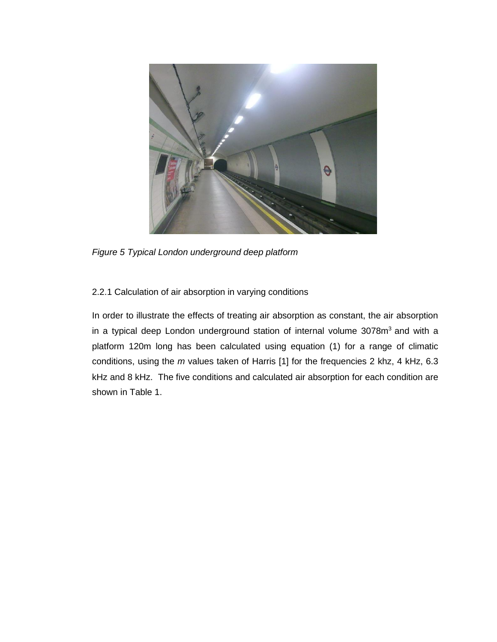

*Figure 5 Typical London underground deep platform* 

## 2.2.1 Calculation of air absorption in varying conditions

In order to illustrate the effects of treating air absorption as constant, the air absorption in a typical deep London underground station of internal volume 3078m<sup>3</sup> and with a platform 120m long has been calculated using equation (1) for a range of climatic conditions, using the *m* values taken of Harris [1] for the frequencies 2 khz, 4 kHz, 6.3 kHz and 8 kHz. The five conditions and calculated air absorption for each condition are shown in Table 1.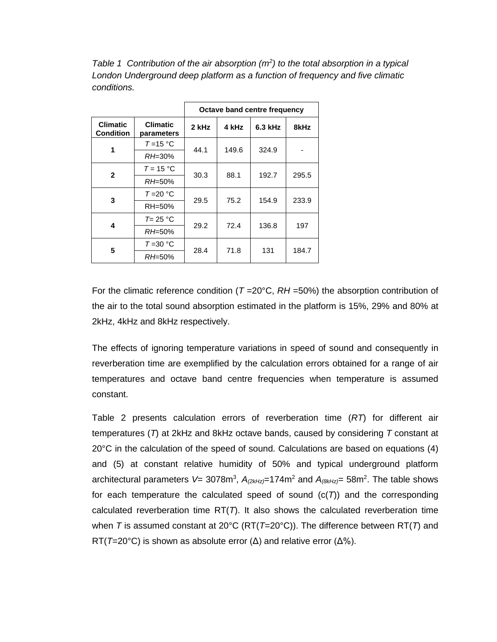*Table 1 Contribution of the air absorption (m<sup>2</sup> ) to the total absorption in a typical London Underground deep platform as a function of frequency and five climatic conditions.* 

|                                     |                               | Octave band centre frequency |       |         |       |  |
|-------------------------------------|-------------------------------|------------------------------|-------|---------|-------|--|
| <b>Climatic</b><br><b>Condition</b> | <b>Climatic</b><br>parameters | 2 kHz                        | 4 kHz | 6.3 kHz | 8kHz  |  |
| 1                                   | $T = 15 °C$                   | 44.1                         | 149.6 | 324.9   |       |  |
|                                     | RH=30%                        |                              |       |         |       |  |
| $\mathbf{2}$                        | $T = 15 °C$                   | 30.3                         | 88.1  | 192.7   | 295.5 |  |
|                                     | RH=50%                        |                              |       |         |       |  |
| 3                                   | $T = 20 °C$                   |                              | 75.2  | 154.9   | 233.9 |  |
|                                     | RH=50%                        | 29.5                         |       |         |       |  |
|                                     | $T = 25 °C$                   |                              | 72.4  | 136.8   | 197   |  |
| 4                                   | $RH = 50\%$                   | 29.2                         |       |         |       |  |
| 5                                   | $T = 30 °C$                   |                              | 71.8  | 131     | 184.7 |  |
|                                     | RH=50%                        | 28.4                         |       |         |       |  |

For the climatic reference condition ( $T = 20^{\circ}$ C,  $RH = 50\%$ ) the absorption contribution of the air to the total sound absorption estimated in the platform is 15%, 29% and 80% at 2kHz, 4kHz and 8kHz respectively.

The effects of ignoring temperature variations in speed of sound and consequently in reverberation time are exemplified by the calculation errors obtained for a range of air temperatures and octave band centre frequencies when temperature is assumed constant.

Table 2 presents calculation errors of reverberation time (*RT*) for different air temperatures (*T*) at 2kHz and 8kHz octave bands, caused by considering *T* constant at 20°C in the calculation of the speed of sound. Calculations are based on equations (4) and (5) at constant relative humidity of 50% and typical underground platform architectural parameters *V*= 3078m<sup>3</sup> , *A(2kHz)*=174m<sup>2</sup> and *A(8kHz)=* 58m<sup>2</sup> . The table shows for each temperature the calculated speed of sound  $(c(T))$  and the corresponding calculated reverberation time RT(*T*). It also shows the calculated reverberation time when *T* is assumed constant at 20°C (RT(*T*=20°C)). The difference between RT(*T*) and RT(*T*=20°C) is shown as absolute error (Δ) and relative error (Δ%).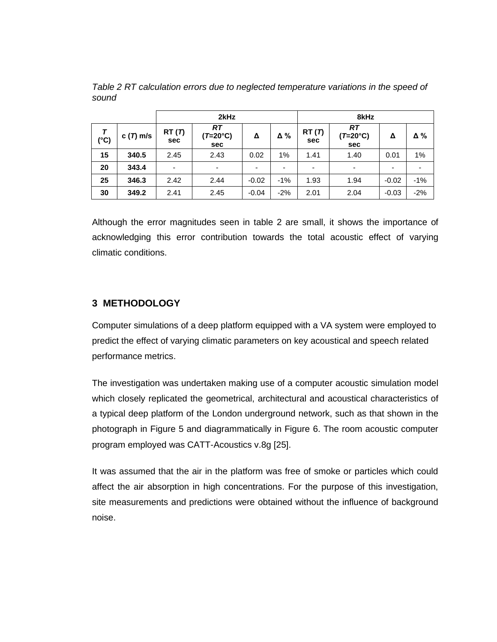|               |            | 2kHz                     |                       |                          | 8kHz  |              |                                              |         |            |
|---------------|------------|--------------------------|-----------------------|--------------------------|-------|--------------|----------------------------------------------|---------|------------|
| $(^{\circ}C)$ | $c(T)$ m/s | RT(7)<br><b>sec</b>      | RT<br>(T=20°C)<br>sec | Δ                        | Δ%    | RT(T)<br>sec | <b>RT</b><br>$(T=20^{\circ}C)$<br><b>sec</b> | Δ       | $\Delta\%$ |
| 15            | 340.5      | 2.45                     | 2.43                  | 0.02                     | 1%    | 1.41         | 1.40                                         | 0.01    | 1%         |
| 20            | 343.4      | $\overline{\phantom{0}}$ | -                     | $\overline{\phantom{0}}$ | ٠     | ٠            | $\overline{\phantom{a}}$                     |         |            |
| 25            | 346.3      | 2.42                     | 2.44                  | $-0.02$                  | $-1%$ | 1.93         | 1.94                                         | $-0.02$ | $-1%$      |
| 30            | 349.2      | 2.41                     | 2.45                  | $-0.04$                  | $-2%$ | 2.01         | 2.04                                         | $-0.03$ | $-2%$      |

*Table 2 RT calculation errors due to neglected temperature variations in the speed of sound*

Although the error magnitudes seen in table 2 are small, it shows the importance of acknowledging this error contribution towards the total acoustic effect of varying climatic conditions.

## **3 METHODOLOGY**

Computer simulations of a deep platform equipped with a VA system were employed to predict the effect of varying climatic parameters on key acoustical and speech related performance metrics.

The investigation was undertaken making use of a computer acoustic simulation model which closely replicated the geometrical, architectural and acoustical characteristics of a typical deep platform of the London underground network, such as that shown in the photograph in Figure 5 and diagrammatically in Figure 6. The room acoustic computer program employed was CATT-Acoustics v.8g [25].

It was assumed that the air in the platform was free of smoke or particles which could affect the air absorption in high concentrations. For the purpose of this investigation, site measurements and predictions were obtained without the influence of background noise.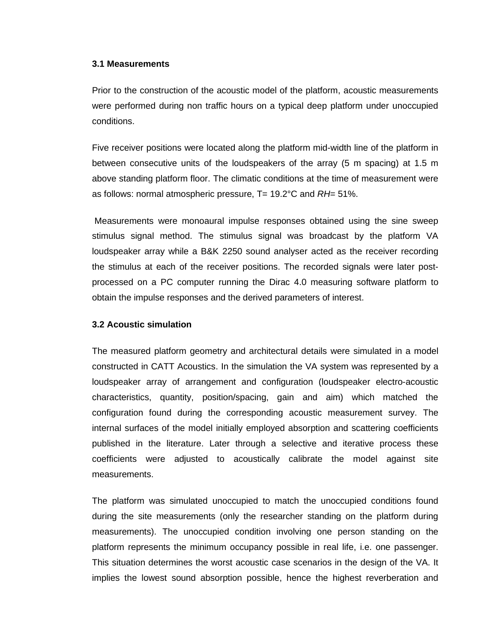#### **3.1 Measurements**

Prior to the construction of the acoustic model of the platform, acoustic measurements were performed during non traffic hours on a typical deep platform under unoccupied conditions.

Five receiver positions were located along the platform mid-width line of the platform in between consecutive units of the loudspeakers of the array (5 m spacing) at 1.5 m above standing platform floor. The climatic conditions at the time of measurement were as follows: normal atmospheric pressure, T= 19.2°C and *RH*= 51%.

Measurements were monoaural impulse responses obtained using the sine sweep stimulus signal method. The stimulus signal was broadcast by the platform VA loudspeaker array while a B&K 2250 sound analyser acted as the receiver recording the stimulus at each of the receiver positions. The recorded signals were later postprocessed on a PC computer running the Dirac 4.0 measuring software platform to obtain the impulse responses and the derived parameters of interest.

#### **3.2 Acoustic simulation**

The measured platform geometry and architectural details were simulated in a model constructed in CATT Acoustics. In the simulation the VA system was represented by a loudspeaker array of arrangement and configuration (loudspeaker electro-acoustic characteristics, quantity, position/spacing, gain and aim) which matched the configuration found during the corresponding acoustic measurement survey. The internal surfaces of the model initially employed absorption and scattering coefficients published in the literature. Later through a selective and iterative process these coefficients were adjusted to acoustically calibrate the model against site measurements.

The platform was simulated unoccupied to match the unoccupied conditions found during the site measurements (only the researcher standing on the platform during measurements). The unoccupied condition involving one person standing on the platform represents the minimum occupancy possible in real life, i.e. one passenger. This situation determines the worst acoustic case scenarios in the design of the VA. It implies the lowest sound absorption possible, hence the highest reverberation and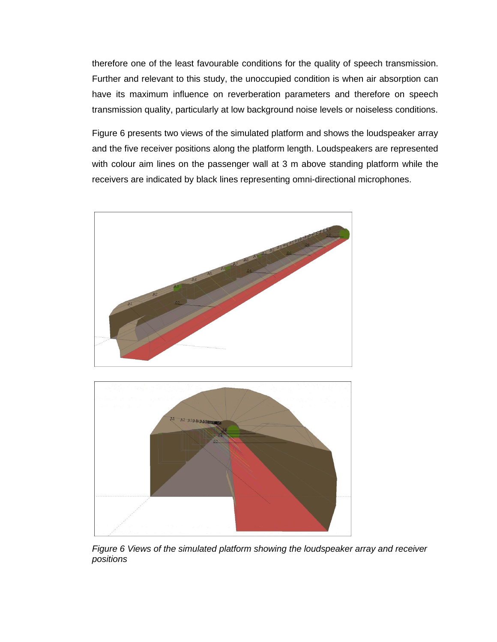therefore one of the least favourable conditions for the quality of speech transmission. Further and relevant to this study, the unoccupied condition is when air absorption can have its maximum influence on reverberation parameters and therefore on speech transmission quality, particularly at low background noise levels or noiseless conditions.

Figure 6 presents two views of the simulated platform and shows the loudspeaker array and the five receiver positions along the platform length. Loudspeakers are represented with colour aim lines on the passenger wall at 3 m above standing platform while the receivers are indicated by black lines representing omni-directional microphones.





*Figure 6 Views of the simulated platform showing the loudspeaker array and receiver positions*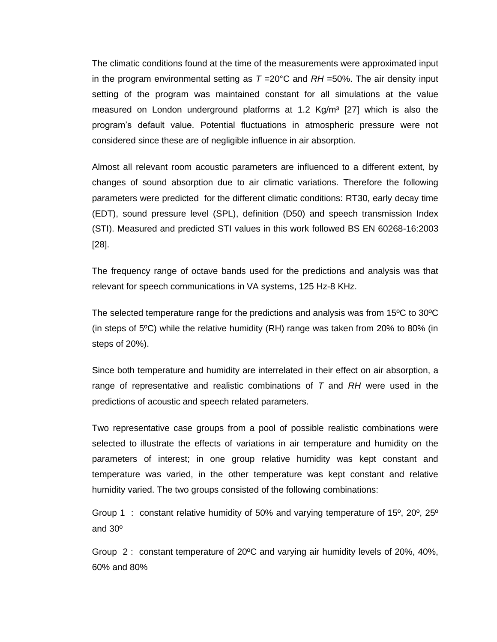The climatic conditions found at the time of the measurements were approximated input in the program environmental setting as  $T = 20^{\circ}$ C and  $RH = 50\%$ . The air density input setting of the program was maintained constant for all simulations at the value measured on London underground platforms at 1.2  $Kg/m<sup>3</sup>$  [27] which is also the program's default value. Potential fluctuations in atmospheric pressure were not considered since these are of negligible influence in air absorption.

Almost all relevant room acoustic parameters are influenced to a different extent, by changes of sound absorption due to air climatic variations. Therefore the following parameters were predicted for the different climatic conditions: RT30, early decay time (EDT), sound pressure level (SPL), definition (D50) and speech transmission Index (STI). Measured and predicted STI values in this work followed BS EN 60268-16:2003 [28].

The frequency range of octave bands used for the predictions and analysis was that relevant for speech communications in VA systems, 125 Hz-8 KHz.

The selected temperature range for the predictions and analysis was from 15ºC to 30ºC (in steps of  $5^{\circ}$ C) while the relative humidity (RH) range was taken from 20% to 80% (in steps of 20%).

Since both temperature and humidity are interrelated in their effect on air absorption, a range of representative and realistic combinations of *T* and *RH* were used in the predictions of acoustic and speech related parameters.

Two representative case groups from a pool of possible realistic combinations were selected to illustrate the effects of variations in air temperature and humidity on the parameters of interest; in one group relative humidity was kept constant and temperature was varied, in the other temperature was kept constant and relative humidity varied. The two groups consisted of the following combinations:

Group 1 : constant relative humidity of 50% and varying temperature of 15º, 20º, 25º and 30º

Group 2 : constant temperature of 20ºC and varying air humidity levels of 20%, 40%, 60% and 80%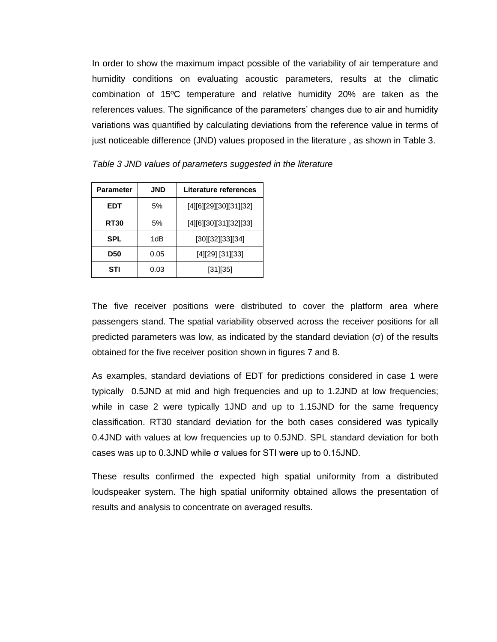In order to show the maximum impact possible of the variability of air temperature and humidity conditions on evaluating acoustic parameters, results at the climatic combination of 15ºC temperature and relative humidity 20% are taken as the references values. The significance of the parameters' changes due to air and humidity variations was quantified by calculating deviations from the reference value in terms of just noticeable difference (JND) values proposed in the literature , as shown in Table 3.

| JND<br>Parameter   |      | Literature references  |  |  |
|--------------------|------|------------------------|--|--|
| EDT                | 5%   | [4][6][29][30][31][32] |  |  |
| RT30               | 5%   | [4][6][30][31][32][33] |  |  |
| SPL<br>1dB         |      | [30][32][33][34]       |  |  |
| 0.05<br><b>D50</b> |      | [4][29] [31][33]       |  |  |
| STI                | 0.03 | [31][35]               |  |  |

*Table 3 JND values of parameters suggested in the literature* 

The five receiver positions were distributed to cover the platform area where passengers stand. The spatial variability observed across the receiver positions for all predicted parameters was low, as indicated by the standard deviation (σ) of the results obtained for the five receiver position shown in figures 7 and 8.

As examples, standard deviations of EDT for predictions considered in case 1 were typically 0.5JND at mid and high frequencies and up to 1.2JND at low frequencies; while in case 2 were typically 1JND and up to 1.15JND for the same frequency classification. RT30 standard deviation for the both cases considered was typically 0.4JND with values at low frequencies up to 0.5JND. SPL standard deviation for both cases was up to 0.3JND while σ values for STI were up to 0.15JND.

These results confirmed the expected high spatial uniformity from a distributed loudspeaker system. The high spatial uniformity obtained allows the presentation of results and analysis to concentrate on averaged results.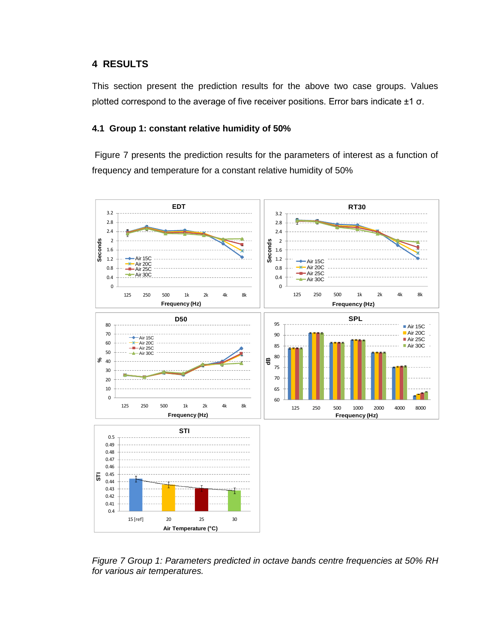## **4 RESULTS**

This section present the prediction results for the above two case groups. Values plotted correspond to the average of five receiver positions. Error bars indicate ±1 σ.

## **4.1 Group 1: constant relative humidity of 50%**

Figure 7 presents the prediction results for the parameters of interest as a function of frequency and temperature for a constant relative humidity of 50%



*Figure 7 Group 1: Parameters predicted in octave bands centre frequencies at 50% RH for various air temperatures.*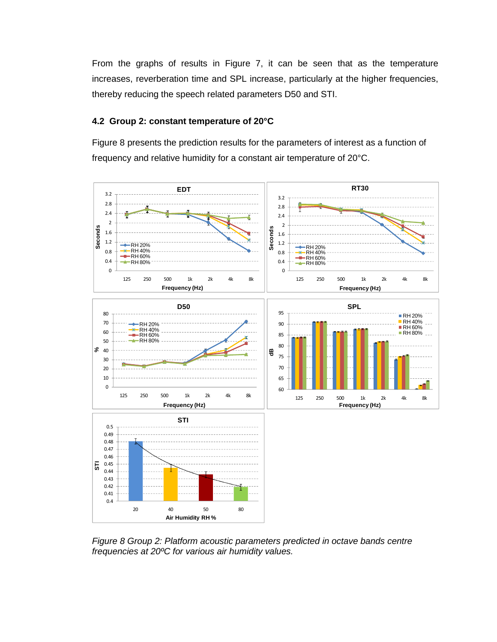From the graphs of results in Figure 7, it can be seen that as the temperature increases, reverberation time and SPL increase, particularly at the higher frequencies, thereby reducing the speech related parameters D50 and STI.

## **4.2 Group 2: constant temperature of 20°C**

Figure 8 presents the prediction results for the parameters of interest as a function of frequency and relative humidity for a constant air temperature of 20°C.



*Figure 8 Group 2: Platform acoustic parameters predicted in octave bands centre frequencies at 20ºC for various air humidity values.*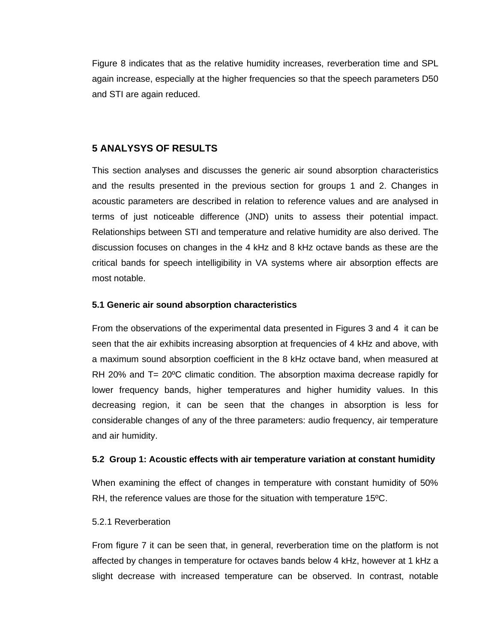Figure 8 indicates that as the relative humidity increases, reverberation time and SPL again increase, especially at the higher frequencies so that the speech parameters D50 and STI are again reduced.

## **5 ANALYSYS OF RESULTS**

This section analyses and discusses the generic air sound absorption characteristics and the results presented in the previous section for groups 1 and 2. Changes in acoustic parameters are described in relation to reference values and are analysed in terms of just noticeable difference (JND) units to assess their potential impact. Relationships between STI and temperature and relative humidity are also derived. The discussion focuses on changes in the 4 kHz and 8 kHz octave bands as these are the critical bands for speech intelligibility in VA systems where air absorption effects are most notable.

#### **5.1 Generic air sound absorption characteristics**

From the observations of the experimental data presented in Figures 3 and 4 it can be seen that the air exhibits increasing absorption at frequencies of 4 kHz and above, with a maximum sound absorption coefficient in the 8 kHz octave band, when measured at RH 20% and  $T = 20^{\circ}$ C climatic condition. The absorption maxima decrease rapidly for lower frequency bands, higher temperatures and higher humidity values. In this decreasing region, it can be seen that the changes in absorption is less for considerable changes of any of the three parameters: audio frequency, air temperature and air humidity.

#### **5.2 Group 1: Acoustic effects with air temperature variation at constant humidity**

When examining the effect of changes in temperature with constant humidity of 50% RH, the reference values are those for the situation with temperature 15ºC.

#### 5.2.1 Reverberation

From figure 7 it can be seen that, in general, reverberation time on the platform is not affected by changes in temperature for octaves bands below 4 kHz, however at 1 kHz a slight decrease with increased temperature can be observed. In contrast, notable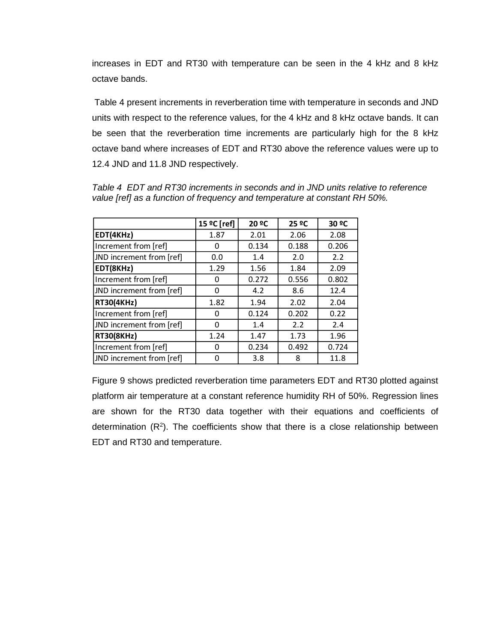increases in EDT and RT30 with temperature can be seen in the 4 kHz and 8 kHz octave bands.

Table 4 present increments in reverberation time with temperature in seconds and JND units with respect to the reference values, for the 4 kHz and 8 kHz octave bands. It can be seen that the reverberation time increments are particularly high for the 8 kHz octave band where increases of EDT and RT30 above the reference values were up to 12.4 JND and 11.8 JND respectively.

|                          | 15 °C [ref] | 20 °C | 25 ºC | 30 ºC |
|--------------------------|-------------|-------|-------|-------|
| EDT(4KHz)                | 1.87        | 2.01  | 2.06  | 2.08  |
| Increment from [ref]     | 0           | 0.134 | 0.188 | 0.206 |
| JND increment from [ref] | 0.0         | 1.4   | 2.0   | 2.2   |
| EDT(8KHz)                | 1.29        | 1.56  | 1.84  | 2.09  |
| Increment from [ref]     | 0           | 0.272 | 0.556 | 0.802 |
| JND increment from [ref] | Ω           | 4.2   | 8.6   | 12.4  |
| <b>RT30(4KHz)</b>        | 1.82        | 1.94  | 2.02  | 2.04  |
| Increment from [ref]     | Ω           | 0.124 | 0.202 | 0.22  |
| JND increment from [ref] | 0           | 1.4   | 2.2   | 2.4   |
| <b>RT30(8KHz)</b>        | 1.24        | 1.47  | 1.73  | 1.96  |
| Increment from [ref]     | 0           | 0.234 | 0.492 | 0.724 |
| JND increment from [ref] | ი           | 3.8   | 8     | 11.8  |

*Table 4 EDT and RT30 increments in seconds and in JND units relative to reference value [ref] as a function of frequency and temperature at constant RH 50%.*

Figure 9 shows predicted reverberation time parameters EDT and RT30 plotted against platform air temperature at a constant reference humidity RH of 50%. Regression lines are shown for the RT30 data together with their equations and coefficients of determination  $(R^2)$ . The coefficients show that there is a close relationship between EDT and RT30 and temperature.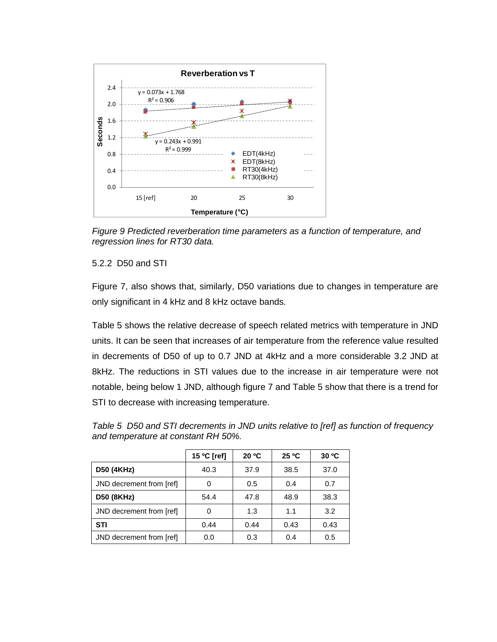

*Figure 9 Predicted reverberation time parameters as a function of temperature, and regression lines for RT30 data.*

## 5.2.2 D50 and STI

Figure 7, also shows that, similarly, D50 variations due to changes in temperature are only significant in 4 kHz and 8 kHz octave bands.

Table 5 shows the relative decrease of speech related metrics with temperature in JND units. It can be seen that increases of air temperature from the reference value resulted in decrements of D50 of up to 0.7 JND at 4kHz and a more considerable 3.2 JND at 8kHz. The reductions in STI values due to the increase in air temperature were not notable, being below 1 JND, although figure 7 and Table 5 show that there is a trend for STI to decrease with increasing temperature.

*Table 5 D50 and STI decrements in JND units relative to [ref] as function of frequency and temperature at constant RH 50%.*

|                          | 15 °C [ref] | 20 °C | 25 °C | 30 °C |
|--------------------------|-------------|-------|-------|-------|
| D50 (4KHz)               | 40.3        | 37.9  | 38.5  | 37.0  |
| JND decrement from [ref] | 0           | 0.5   | 0.4   | 0.7   |
| D50 (8KHz)               | 54.4        | 47.8  | 48.9  | 38.3  |
| JND decrement from [ref] | 0           | 1.3   | 1.1   | 3.2   |
| <b>STI</b>               | 0.44        | 0.44  | 0.43  | 0.43  |
| JND decrement from [ref] | 0.0         | 0.3   | 0.4   | 0.5   |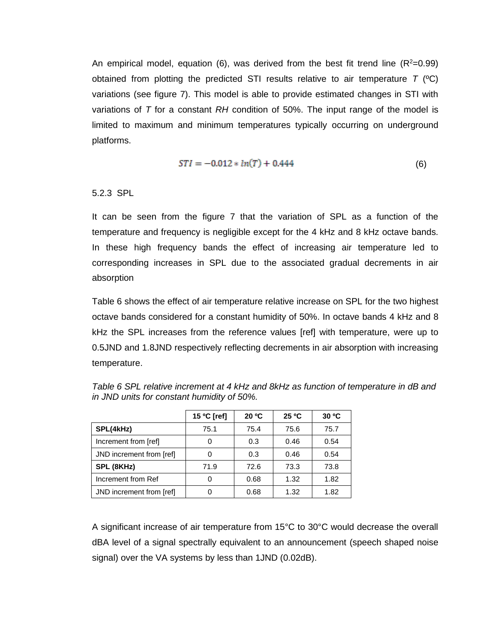An empirical model, equation (6), was derived from the best fit trend line  $(R<sup>2</sup>=0.99)$ obtained from plotting the predicted STI results relative to air temperature *T* (ºC) variations (see figure 7). This model is able to provide estimated changes in STI with variations of *T* for a constant *RH* condition of 50%. The input range of the model is limited to maximum and minimum temperatures typically occurring on underground platforms.

$$
STI = -0.012 * ln(T) + 0.444 \tag{6}
$$

## 5.2.3 SPL

It can be seen from the figure 7 that the variation of SPL as a function of the temperature and frequency is negligible except for the 4 kHz and 8 kHz octave bands. In these high frequency bands the effect of increasing air temperature led to corresponding increases in SPL due to the associated gradual decrements in air absorption

Table 6 shows the effect of air temperature relative increase on SPL for the two highest octave bands considered for a constant humidity of 50%. In octave bands 4 kHz and 8 kHz the SPL increases from the reference values [ref] with temperature, were up to 0.5JND and 1.8JND respectively reflecting decrements in air absorption with increasing temperature.

|                          | 15 °C [ref] | 20 °C | 25 °C | 30 °C |
|--------------------------|-------------|-------|-------|-------|
| SPL(4kHz)                | 75.1        | 75.4  | 75.6  | 75.7  |
| Increment from [ref]     | 0           | 0.3   | 0.46  | 0.54  |
| JND increment from [ref] | 0           | 0.3   | 0.46  | 0.54  |
| SPL (8KHz)               | 71.9        | 72.6  | 73.3  | 73.8  |
| Increment from Ref       | 0           | 0.68  | 1.32  | 1.82  |
| JND increment from [ref] | 0           | 0.68  | 1.32  | 1.82  |

*Table 6 SPL relative increment at 4 kHz and 8kHz as function of temperature in dB and in JND units for constant humidity of 50%.*

A significant increase of air temperature from 15°C to 30°C would decrease the overall dBA level of a signal spectrally equivalent to an announcement (speech shaped noise signal) over the VA systems by less than 1JND (0.02dB).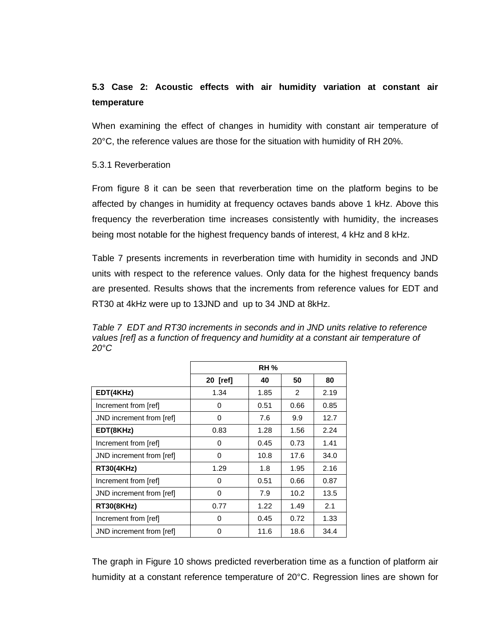# **5.3 Case 2: Acoustic effects with air humidity variation at constant air temperature**

When examining the effect of changes in humidity with constant air temperature of 20°C, the reference values are those for the situation with humidity of RH 20%.

## 5.3.1 Reverberation

From figure 8 it can be seen that reverberation time on the platform begins to be affected by changes in humidity at frequency octaves bands above 1 kHz. Above this frequency the reverberation time increases consistently with humidity, the increases being most notable for the highest frequency bands of interest, 4 kHz and 8 kHz.

Table 7 presents increments in reverberation time with humidity in seconds and JND units with respect to the reference values. Only data for the highest frequency bands are presented. Results shows that the increments from reference values for EDT and RT30 at 4kHz were up to 13JND and up to 34 JND at 8kHz.

*Table 7 EDT and RT30 increments in seconds and in JND units relative to reference values [ref] as a function of frequency and humidity at a constant air temperature of 20°C*

|                          | <b>RH %</b> |      |      |      |  |
|--------------------------|-------------|------|------|------|--|
|                          | 20 [ref]    | 40   | 50   | 80   |  |
| EDT(4KHz)                | 1.34        | 1.85 | 2    | 2.19 |  |
| Increment from [ref]     | 0           | 0.51 | 0.66 | 0.85 |  |
| JND increment from [ref] | 0           | 7.6  | 9.9  | 12.7 |  |
| EDT(8KHz)                | 0.83        | 1.28 | 1.56 | 2.24 |  |
| Increment from [ref]     | $\Omega$    | 0.45 | 0.73 | 1.41 |  |
| JND increment from [ref] | 0           | 10.8 | 17.6 | 34.0 |  |
| <b>RT30(4KHz)</b>        | 1.29        | 1.8  | 1.95 | 2.16 |  |
| Increment from [ref]     | $\Omega$    | 0.51 | 0.66 | 0.87 |  |
| JND increment from [ref] | 0           | 7.9  | 10.2 | 13.5 |  |
| <b>RT30(8KHz)</b>        | 0.77        | 1.22 | 1.49 | 2.1  |  |
| Increment from [ref]     | 0           | 0.45 | 0.72 | 1.33 |  |
| JND increment from [ref] | 0           | 11.6 | 18.6 | 34.4 |  |

The graph in Figure 10 shows predicted reverberation time as a function of platform air humidity at a constant reference temperature of 20°C. Regression lines are shown for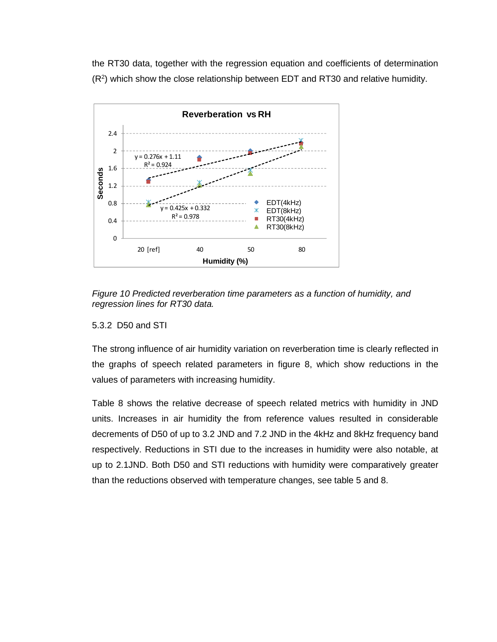the RT30 data, together with the regression equation and coefficients of determination (R<sup>2</sup>) which show the close relationship between EDT and RT30 and relative humidity.



*Figure 10 Predicted reverberation time parameters as a function of humidity, and regression lines for RT30 data.*

#### 5.3.2 D50 and STI

The strong influence of air humidity variation on reverberation time is clearly reflected in the graphs of speech related parameters in figure 8, which show reductions in the values of parameters with increasing humidity.

Table 8 shows the relative decrease of speech related metrics with humidity in JND units. Increases in air humidity the from reference values resulted in considerable decrements of D50 of up to 3.2 JND and 7.2 JND in the 4kHz and 8kHz frequency band respectively. Reductions in STI due to the increases in humidity were also notable, at up to 2.1JND. Both D50 and STI reductions with humidity were comparatively greater than the reductions observed with temperature changes, see table 5 and 8.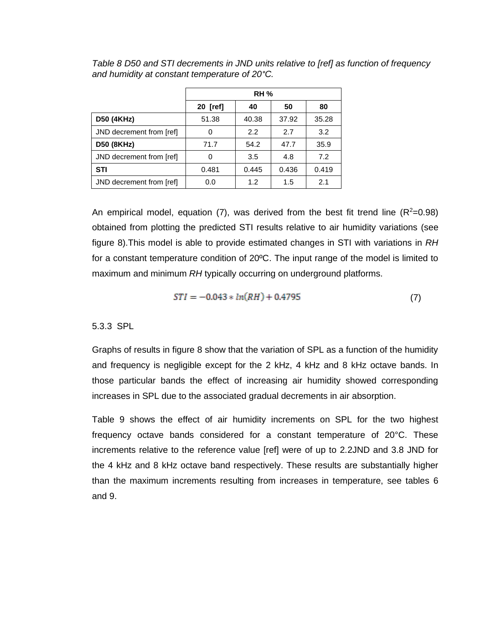|                          | <b>RH %</b> |       |       |       |
|--------------------------|-------------|-------|-------|-------|
|                          | $20$ [ref]  | 40    | 50    | 80    |
| <b>D50 (4KHz)</b>        | 51.38       | 40.38 | 37.92 | 35.28 |
| JND decrement from [ref] | Ω           | 2.2   | 2.7   | 3.2   |
| D50 (8KHz)               | 71.7        | 54.2  | 47.7  | 35.9  |
| JND decrement from [ref] | 0           | 3.5   | 4.8   | 7.2   |
| <b>STI</b>               | 0.481       | 0.445 | 0.436 | 0.419 |
| JND decrement from [ref] | 0.0         | 1.2   | 1.5   | 2.1   |

*Table 8 D50 and STI decrements in JND units relative to [ref] as function of frequency and humidity at constant temperature of 20°C.*

An empirical model, equation (7), was derived from the best fit trend line  $(R^2=0.98)$ obtained from plotting the predicted STI results relative to air humidity variations (see figure 8).This model is able to provide estimated changes in STI with variations in *RH*  for a constant temperature condition of 20ºC. The input range of the model is limited to maximum and minimum *RH* typically occurring on underground platforms.

$$
STI = -0.043 * ln(RH) + 0.4795
$$
 (7)

5.3.3 SPL

Graphs of results in figure 8 show that the variation of SPL as a function of the humidity and frequency is negligible except for the 2 kHz, 4 kHz and 8 kHz octave bands. In those particular bands the effect of increasing air humidity showed corresponding increases in SPL due to the associated gradual decrements in air absorption.

Table 9 shows the effect of air humidity increments on SPL for the two highest frequency octave bands considered for a constant temperature of 20°C. These increments relative to the reference value [ref] were of up to 2.2JND and 3.8 JND for the 4 kHz and 8 kHz octave band respectively. These results are substantially higher than the maximum increments resulting from increases in temperature, see tables 6 and 9.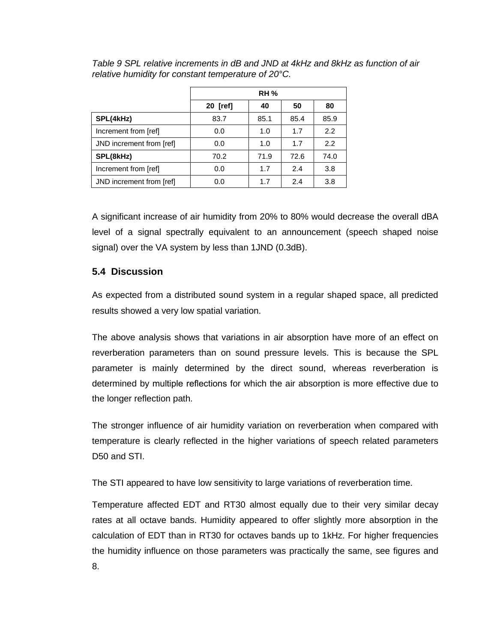|                          | <b>RH %</b> |      |      |      |  |
|--------------------------|-------------|------|------|------|--|
|                          | 20 [ref]    | 40   | 50   | 80   |  |
| SPL(4kHz)                | 83.7        | 85.1 | 85.4 | 85.9 |  |
| Increment from [ref]     | 0.0         | 1.0  | 1.7  | 2.2  |  |
| JND increment from [ref] | 0.0         | 1.0  | 1.7  | 2.2  |  |
| SPL(8kHz)                | 70.2        | 71.9 | 72.6 | 74.0 |  |
| Increment from [ref]     | 0.0         | 1.7  | 2.4  | 3.8  |  |
| JND increment from [ref] | 0.0         | 1.7  | 2.4  | 3.8  |  |

*Table 9 SPL relative increments in dB and JND at 4kHz and 8kHz as function of air relative humidity for constant temperature of 20°C.*

A significant increase of air humidity from 20% to 80% would decrease the overall dBA level of a signal spectrally equivalent to an announcement (speech shaped noise signal) over the VA system by less than 1JND (0.3dB).

## **5.4 Discussion**

As expected from a distributed sound system in a regular shaped space, all predicted results showed a very low spatial variation.

The above analysis shows that variations in air absorption have more of an effect on reverberation parameters than on sound pressure levels. This is because the SPL parameter is mainly determined by the direct sound, whereas reverberation is determined by multiple reflections for which the air absorption is more effective due to the longer reflection path.

The stronger influence of air humidity variation on reverberation when compared with temperature is clearly reflected in the higher variations of speech related parameters D50 and STI.

The STI appeared to have low sensitivity to large variations of reverberation time.

Temperature affected EDT and RT30 almost equally due to their very similar decay rates at all octave bands. Humidity appeared to offer slightly more absorption in the calculation of EDT than in RT30 for octaves bands up to 1kHz. For higher frequencies the humidity influence on those parameters was practically the same, see figures and 8.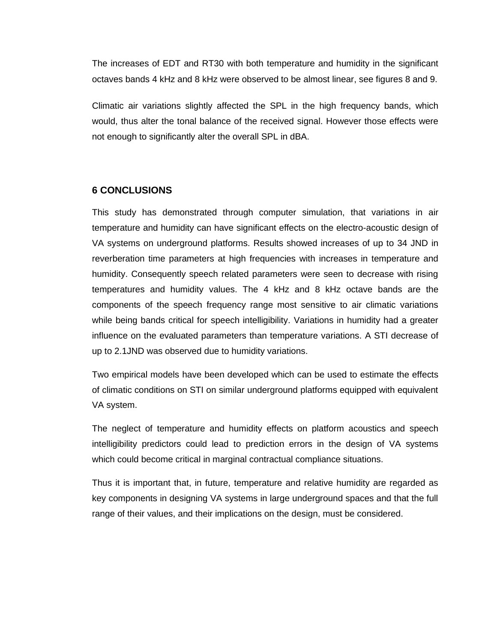The increases of EDT and RT30 with both temperature and humidity in the significant octaves bands 4 kHz and 8 kHz were observed to be almost linear, see figures 8 and 9.

Climatic air variations slightly affected the SPL in the high frequency bands, which would, thus alter the tonal balance of the received signal. However those effects were not enough to significantly alter the overall SPL in dBA.

#### **6 CONCLUSIONS**

This study has demonstrated through computer simulation, that variations in air temperature and humidity can have significant effects on the electro-acoustic design of VA systems on underground platforms. Results showed increases of up to 34 JND in reverberation time parameters at high frequencies with increases in temperature and humidity. Consequently speech related parameters were seen to decrease with rising temperatures and humidity values. The 4 kHz and 8 kHz octave bands are the components of the speech frequency range most sensitive to air climatic variations while being bands critical for speech intelligibility. Variations in humidity had a greater influence on the evaluated parameters than temperature variations. A STI decrease of up to 2.1JND was observed due to humidity variations.

Two empirical models have been developed which can be used to estimate the effects of climatic conditions on STI on similar underground platforms equipped with equivalent VA system.

The neglect of temperature and humidity effects on platform acoustics and speech intelligibility predictors could lead to prediction errors in the design of VA systems which could become critical in marginal contractual compliance situations.

Thus it is important that, in future, temperature and relative humidity are regarded as key components in designing VA systems in large underground spaces and that the full range of their values, and their implications on the design, must be considered.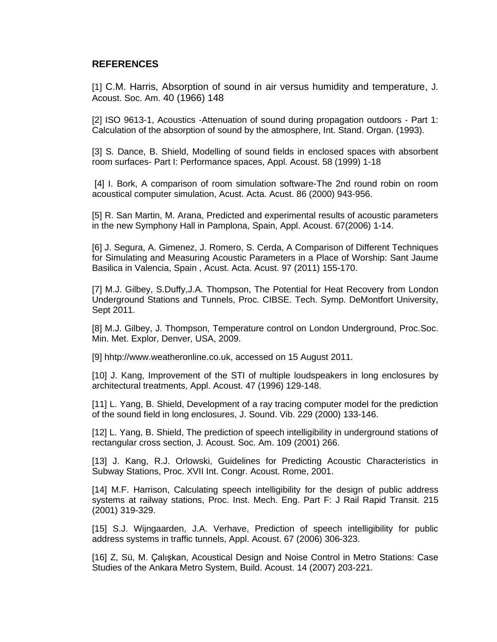## **REFERENCES**

[1] C.M. Harris, Absorption of sound in air versus humidity and temperature, J. Acoust. Soc. Am. 40 (1966) 148

[2] ISO 9613-1, Acoustics -Attenuation of sound during propagation outdoors - Part 1: Calculation of the absorption of sound by the atmosphere, Int. Stand. Organ. (1993).

[3] S. Dance, B. Shield, Modelling of sound fields in enclosed spaces with absorbent room surfaces- Part I: Performance spaces, Appl. Acoust. 58 (1999) 1-18

[4] I. Bork, A comparison of room simulation software-The 2nd round robin on room acoustical computer simulation, Acust. Acta. Acust. 86 (2000) 943-956.

[5] R. San Martin, M. Arana, Predicted and experimental results of acoustic parameters in the new Symphony Hall in Pamplona, Spain, Appl. Acoust. 67(2006) 1-14.

[6] J. Segura, A. Gimenez, J. Romero, S. Cerda, A Comparison of Different Techniques for Simulating and Measuring Acoustic Parameters in a Place of Worship: Sant Jaume Basilica in Valencia, Spain , Acust. Acta. Acust. 97 (2011) 155-170.

[7] M.J. Gilbey, S.Duffy, J.A. Thompson, The Potential for Heat Recovery from London Underground Stations and Tunnels, Proc. CIBSE. Tech. Symp. DeMontfort University, Sept 2011.

[8] M.J. Gilbey, J. Thompson, Temperature control on London Underground, Proc.Soc. Min. Met. Explor, Denver, USA, 2009.

[9] hhtp://www.weatheronline.co.uk, accessed on 15 August 2011.

[10] J. Kang, Improvement of the STI of multiple loudspeakers in long enclosures by architectural treatments, Appl. Acoust. 47 (1996) 129-148.

[11] L. Yang, B. Shield, Development of a ray tracing computer model for the prediction of the sound field in long enclosures, J. Sound. Vib. 229 (2000) 133-146.

[12] L. Yang, B. Shield, The prediction of speech intelligibility in underground stations of rectangular cross section, J. Acoust. Soc. Am. 109 (2001) 266.

[13] J. Kang, R.J. Orlowski, Guidelines for Predicting Acoustic Characteristics in Subway Stations, Proc. XVII Int. Congr. Acoust. Rome, 2001.

[14] M.F. Harrison, Calculating speech intelligibility for the design of public address systems at railway stations, Proc. Inst. Mech. Eng. Part F: J Rail Rapid Transit. 215 (2001) 319-329.

[15] S.J. Wijngaarden, J.A. Verhave, Prediction of speech intelligibility for public address systems in traffic tunnels, Appl. Acoust. 67 (2006) 306-323.

[16] Z, Sü, M. Çalışkan, Acoustical Design and Noise Control in Metro Stations: Case Studies of the Ankara Metro System, Build. Acoust. 14 (2007) 203-221.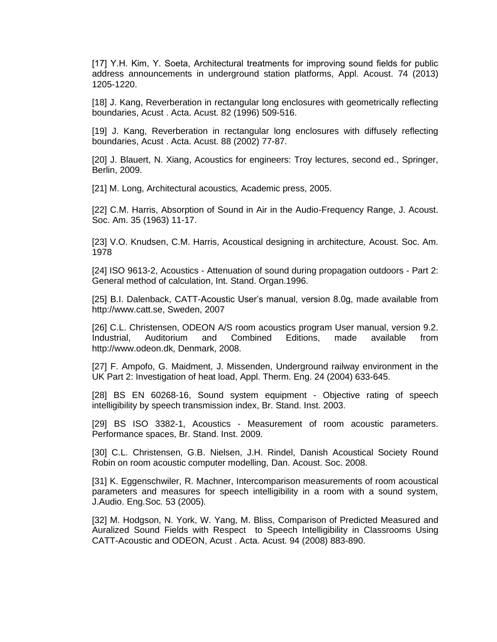[17] Y.H. Kim, Y. Soeta, Architectural treatments for improving sound fields for public address announcements in underground station platforms, Appl. Acoust. 74 (2013) 1205-1220.

[18] J. Kang, Reverberation in rectangular long enclosures with geometrically reflecting boundaries, Acust . Acta. Acust. 82 (1996) 509-516.

[19] J. Kang, Reverberation in rectangular long enclosures with diffusely reflecting boundaries, Acust . Acta. Acust. 88 (2002) 77-87.

[20] J. Blauert, N. Xiang, Acoustics for engineers: Troy lectures, second ed., Springer, Berlin, 2009.

[21] M. Long, Architectural acoustics*,* Academic press, 2005.

[22] C.M. Harris, Absorption of Sound in Air in the Audio-Frequency Range, J. Acoust. Soc. Am. 35 (1963) 11-17.

[23] V.O. Knudsen, C.M. Harris, Acoustical designing in architecture*,* Acoust. Soc. Am. 1978

[24] ISO 9613-2, Acoustics - Attenuation of sound during propagation outdoors - Part 2: General method of calculation, Int. Stand. Organ.1996.

[25] B.I. Dalenback, CATT-Acoustic User's manual, version 8.0g, made available from http://www.catt.se, Sweden, 2007

[26] C.L. Christensen, ODEON A/S room acoustics program User manual, version 9.2. Industrial, Auditorium and Combined Editions, made available from http://www.odeon.dk, Denmark, 2008.

[27] F. Ampofo, G. Maidment, J. Missenden, Underground railway environment in the UK Part 2: Investigation of heat load, Appl. Therm. Eng. 24 (2004) 633-645.

[28] BS EN 60268-16, Sound system equipment - Objective rating of speech intelligibility by speech transmission index, Br. Stand. Inst. 2003.

[29] BS ISO 3382-1, Acoustics - Measurement of room acoustic parameters. Performance spaces, Br. Stand. Inst. 2009.

[30] C.L. Christensen, G.B. Nielsen, J.H. Rindel, Danish Acoustical Society Round Robin on room acoustic computer modelling, Dan. Acoust. Soc. 2008.

[31] K. Eggenschwiler, R. Machner, Intercomparison measurements of room acoustical parameters and measures for speech intelligibility in a room with a sound system, J.Audio. Eng.Soc*.* 53 (2005)*.*

[32] M. Hodgson, N. York, W. Yang, M. Bliss, Comparison of Predicted Measured and Auralized Sound Fields with Respect to Speech Intelligibility in Classrooms Using CATT-Acoustic and ODEON, Acust . Acta. Acust. 94 (2008) 883-890.